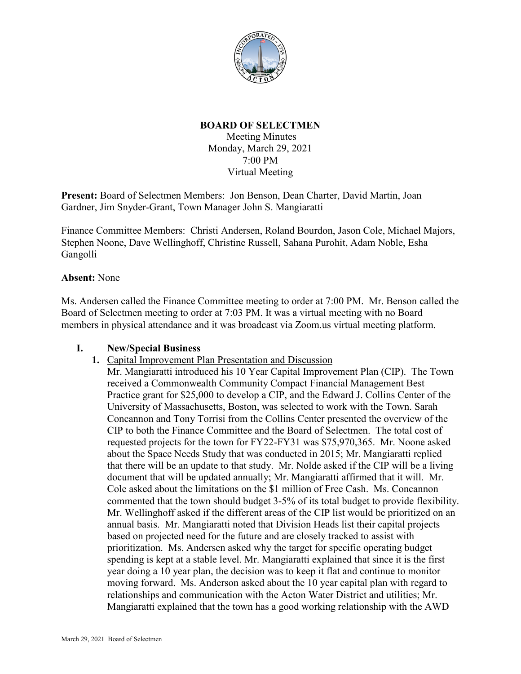

## **BOARD OF SELECTMEN**

Meeting Minutes Monday, March 29, 2021 7:00 PM Virtual Meeting

**Present:** Board of Selectmen Members: Jon Benson, Dean Charter, David Martin, Joan Gardner, Jim Snyder-Grant, Town Manager John S. Mangiaratti

Finance Committee Members: Christi Andersen, Roland Bourdon, Jason Cole, Michael Majors, Stephen Noone, Dave Wellinghoff, Christine Russell, Sahana Purohit, Adam Noble, Esha Gangolli

## **Absent:** None

Ms. Andersen called the Finance Committee meeting to order at 7:00 PM. Mr. Benson called the Board of Selectmen meeting to order at 7:03 PM. It was a virtual meeting with no Board members in physical attendance and it was broadcast via Zoom.us virtual meeting platform.

## **I. New/Special Business**

**1.** Capital Improvement Plan Presentation and Discussion

Mr. Mangiaratti introduced his 10 Year Capital Improvement Plan (CIP). The Town received a Commonwealth Community Compact Financial Management Best Practice grant for \$25,000 to develop a CIP, and the Edward J. Collins Center of the University of Massachusetts, Boston, was selected to work with the Town. Sarah Concannon and Tony Torrisi from the Collins Center presented the overview of the CIP to both the Finance Committee and the Board of Selectmen. The total cost of requested projects for the town for FY22-FY31 was \$75,970,365. Mr. Noone asked about the Space Needs Study that was conducted in 2015; Mr. Mangiaratti replied that there will be an update to that study. Mr. Nolde asked if the CIP will be a living document that will be updated annually; Mr. Mangiaratti affirmed that it will. Mr. Cole asked about the limitations on the \$1 million of Free Cash. Ms. Concannon commented that the town should budget 3-5% of its total budget to provide flexibility. Mr. Wellinghoff asked if the different areas of the CIP list would be prioritized on an annual basis. Mr. Mangiaratti noted that Division Heads list their capital projects based on projected need for the future and are closely tracked to assist with prioritization. Ms. Andersen asked why the target for specific operating budget spending is kept at a stable level. Mr. Mangiaratti explained that since it is the first year doing a 10 year plan, the decision was to keep it flat and continue to monitor moving forward. Ms. Anderson asked about the 10 year capital plan with regard to relationships and communication with the Acton Water District and utilities; Mr. Mangiaratti explained that the town has a good working relationship with the AWD